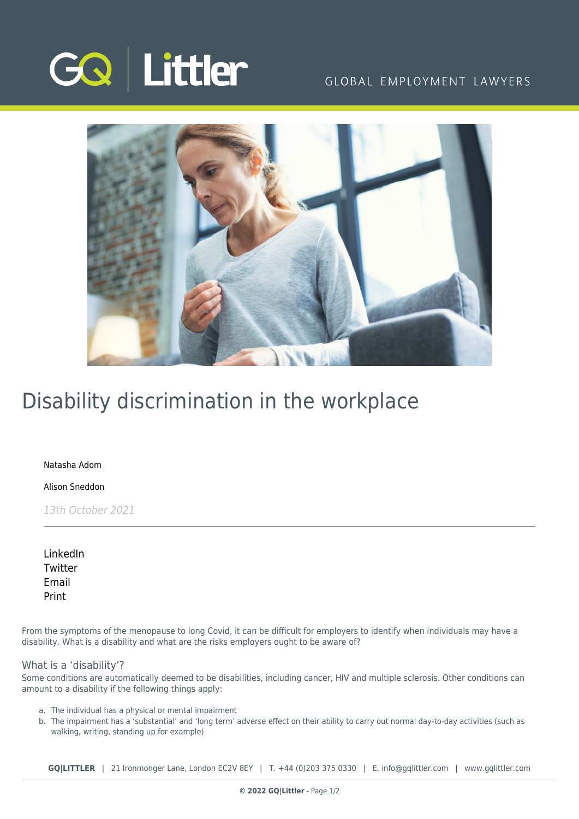

### GLOBAL EMPLOYMENT LAWYERS



## Disability discrimination in the workplace

[Natasha Adom](https://www.gqlittler.com/about-us/the-team/natasha-adom)

[Alison Sneddon](https://www.gqlittler.com/about-us/the-team/alison-sneddon)

13th October 2021

[LinkedIn](https://www.linkedin.com/shareArticle?mini=true&url=https%3A%2F%2Fwww.gqlittler.com%2Fresources%2Fnews-and-views%2Fdisability-discrimination-in-the-workplace.htm%3Funlock%3Dtrue&title=Disability+discrimination+in+the+workplace&summary=From+the+symptoms+of+the+menopause+to+long+Covid%2C+it+can+be+difficult+for+employers+to+identify+when+individuals+may+have+a+disability.&source=GQ+%7C+Littler) **[Twitter](https://twitter.com/share?text=Disability+discrimination+in+the+workplace&url=https%3A%2F%2Fwww.gqlittler.com%2Fresources%2Fnews-and-views%2Fdisability-discrimination-in-the-workplace.htm&hashtags=)** [Email](mailto:?subject=Disability discrimination in the workplace&body=I) [Print](https://www.bg-pdf.co.uk/_GQ/page.php?M=6148523063484d364c793933643363755a33467361585230624756794c6d4e76625339795a584e7664584a6a5a584d76626d563363793168626d5174646d6c6c64334d765a476c7a59574a7062476c306553316b61584e6a636d6c746157356864476c76626931706269313061475574643239796133427359574e6c4c6d683062534e4149305270633246696157787064486b675a476c7a59334a7062576c755958527062323467615734676447686c49486476636d74776247466a5a534e4149325270633246696157787064486b745a476c7a59334a7062576c755958527062323474615734746447686c4c586476636d74776247466a5a513d3d)

From the symptoms of the menopause to long Covid, it can be difficult for employers to identify when individuals may have a disability. What is a disability and what are the risks employers ought to be aware of?

### What is a 'disability'?

Some conditions are automatically deemed to be disabilities, including cancer, HIV and multiple sclerosis. Other conditions can amount to a disability if the following things apply:

- a. The individual has a physical or mental impairment
- b. The impairment has a 'substantial' and 'long term' adverse effect on their ability to carry out normal day-to-day activities (such as walking, writing, standing up for example)

**GQ|LITTLER** | 21 Ironmonger Lane, London EC2V 8EY | T. [+44 \(0\)203 375 0330](https://www.bg-pdf.co.uk/_GQ/tel:+442033750330) | E. [info@gqlittler.com](mailto:info@gqlittler.com) | [www.gqlittler.com](https://www.gqlittler.com)